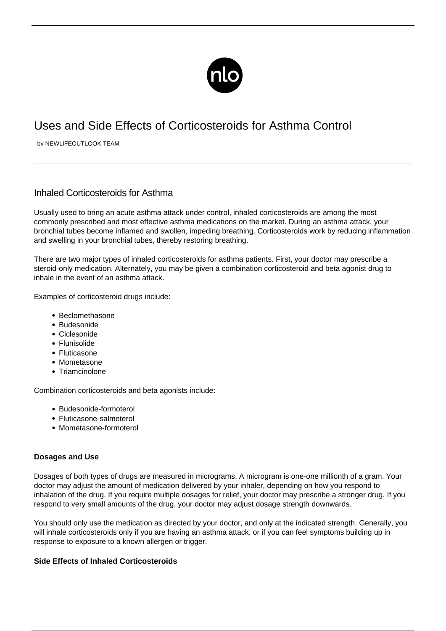

## Uses and Side Effects of Corticosteroids for Asthma Control

by NEWLIFEOUTLOOK TEAM

## Inhaled Corticosteroids for Asthma

Usually used to bring an acute asthma attack under control, inhaled corticosteroids are among the most commonly prescribed and most effective asthma medications on the market. During an asthma attack, your bronchial tubes become inflamed and swollen, impeding breathing. Corticosteroids work by reducing inflammation and swelling in your bronchial tubes, thereby restoring breathing.

There are two major types of inhaled corticosteroids for asthma patients. First, your doctor may prescribe a steroid-only medication. Alternately, you may be given a combination corticosteroid and beta agonist drug to inhale in the event of an asthma attack.

Examples of corticosteroid drugs include:

- Beclomethasone
- Budesonide
- Ciclesonide
- Flunisolide
- Fluticasone
- Mometasone
- Triamcinolone

Combination corticosteroids and beta agonists include:

- Budesonide-formoterol
- Fluticasone-salmeterol
- Mometasone-formoterol

## **Dosages and Use**

Dosages of both types of drugs are measured in micrograms. A microgram is one-one millionth of a gram. Your doctor may adjust the amount of medication delivered by your inhaler, depending on how you respond to inhalation of the drug. If you require multiple dosages for relief, your doctor may prescribe a stronger drug. If you respond to very small amounts of the drug, your doctor may adjust dosage strength downwards.

You should only use the medication as directed by your doctor, and only at the indicated strength. Generally, you will inhale corticosteroids only if you are having an asthma attack, or if you can feel symptoms building up in response to exposure to a known allergen or trigger.

## **Side Effects of Inhaled Corticosteroids**